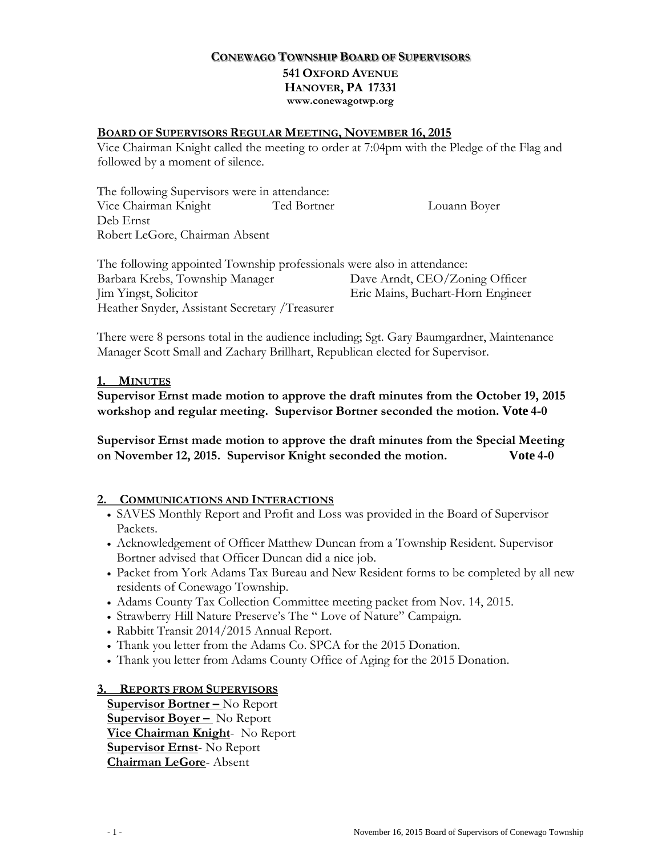# **CONEWAGO TOWNSHIP BOARD OF SUPERVISORS 541 OXFORD AVENUE HANOVER, PA 17331 www.conewagotwp.org**

#### **BOARD OF SUPERVISORS REGULAR MEETING, NOVEMBER 16, 2015**

Vice Chairman Knight called the meeting to order at 7:04pm with the Pledge of the Flag and followed by a moment of silence.

The following Supervisors were in attendance: Vice Chairman Knight Ted Bortner Louann Boyer Deb Ernst Robert LeGore, Chairman Absent

The following appointed Township professionals were also in attendance: Barbara Krebs, Township Manager Dave Arndt, CEO/Zoning Officer Jim Yingst, Solicitor Eric Mains, Buchart-Horn Engineer Heather Snyder, Assistant Secretary /Treasurer

There were 8 persons total in the audience including; Sgt. Gary Baumgardner, Maintenance Manager Scott Small and Zachary Brillhart, Republican elected for Supervisor.

#### **1. MINUTES**

**Supervisor Ernst made motion to approve the draft minutes from the October 19, 2015 workshop and regular meeting. Supervisor Bortner seconded the motion. Vote 4-0**

**Supervisor Ernst made motion to approve the draft minutes from the Special Meeting on November 12, 2015. Supervisor Knight seconded the motion. Vote 4-0**

### **2. COMMUNICATIONS AND INTERACTIONS**

- SAVES Monthly Report and Profit and Loss was provided in the Board of Supervisor Packets.
- Acknowledgement of Officer Matthew Duncan from a Township Resident. Supervisor Bortner advised that Officer Duncan did a nice job.
- Packet from York Adams Tax Bureau and New Resident forms to be completed by all new residents of Conewago Township.
- Adams County Tax Collection Committee meeting packet from Nov. 14, 2015.
- Strawberry Hill Nature Preserve's The " Love of Nature" Campaign.
- Rabbitt Transit 2014/2015 Annual Report.
- Thank you letter from the Adams Co. SPCA for the 2015 Donation.
- Thank you letter from Adams County Office of Aging for the 2015 Donation.

### **3. REPORTS FROM SUPERVISORS**

**Supervisor Bortner –** No Report **Supervisor Boyer –** No Report **Vice Chairman Knight**- No Report **Supervisor Ernst**- No Report **Chairman LeGore**- Absent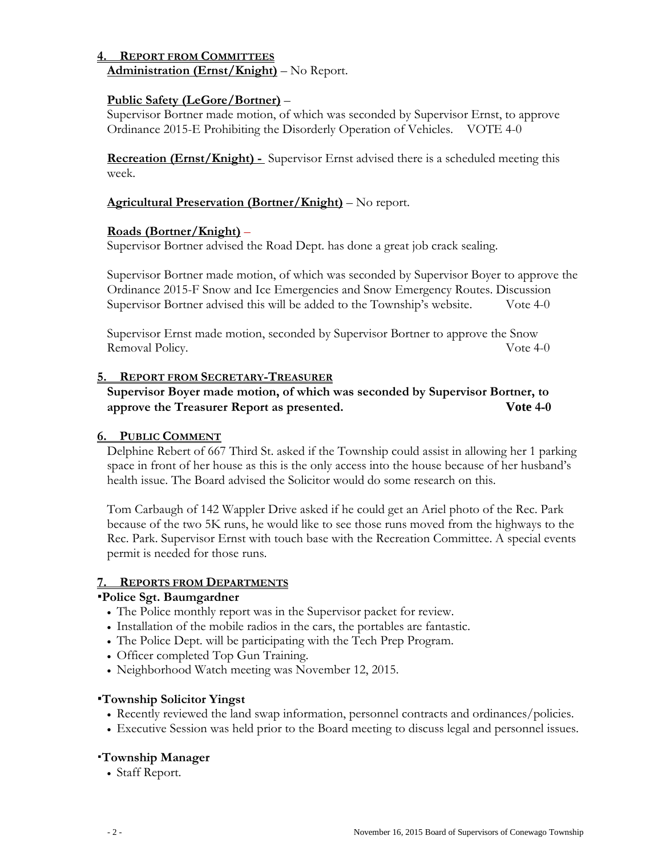#### **4. REPORT FROM COMMITTEES Administration (Ernst/Knight)** – No Report.

# **Public Safety (LeGore/Bortner)** –

Supervisor Bortner made motion, of which was seconded by Supervisor Ernst, to approve Ordinance 2015-E Prohibiting the Disorderly Operation of Vehicles. VOTE 4-0

**Recreation (Ernst/Knight) -** Supervisor Ernst advised there is a scheduled meeting this week.

# **Agricultural Preservation (Bortner/Knight)** – No report.

### **Roads (Bortner/Knight)** –

Supervisor Bortner advised the Road Dept. has done a great job crack sealing.

Supervisor Bortner made motion, of which was seconded by Supervisor Boyer to approve the Ordinance 2015-F Snow and Ice Emergencies and Snow Emergency Routes. Discussion Supervisor Bortner advised this will be added to the Township's website. Vote 4-0

Supervisor Ernst made motion, seconded by Supervisor Bortner to approve the Snow Removal Policy. Vote 4-0

### **5. REPORT FROM SECRETARY-TREASURER**

# **Supervisor Boyer made motion, of which was seconded by Supervisor Bortner, to approve the Treasurer Report as presented. Vote 4-0**

### **6. PUBLIC COMMENT**

Delphine Rebert of 667 Third St. asked if the Township could assist in allowing her 1 parking space in front of her house as this is the only access into the house because of her husband's health issue. The Board advised the Solicitor would do some research on this.

Tom Carbaugh of 142 Wappler Drive asked if he could get an Ariel photo of the Rec. Park because of the two 5K runs, he would like to see those runs moved from the highways to the Rec. Park. Supervisor Ernst with touch base with the Recreation Committee. A special events permit is needed for those runs.

### **7. REPORTS FROM DEPARTMENTS**

### **Police Sgt. Baumgardner**

- The Police monthly report was in the Supervisor packet for review.
- Installation of the mobile radios in the cars, the portables are fantastic.
- The Police Dept. will be participating with the Tech Prep Program.
- Officer completed Top Gun Training.
- Neighborhood Watch meeting was November 12, 2015.

### **Township Solicitor Yingst**

- Recently reviewed the land swap information, personnel contracts and ordinances/policies.
- Executive Session was held prior to the Board meeting to discuss legal and personnel issues.

# **Township Manager**

• Staff Report.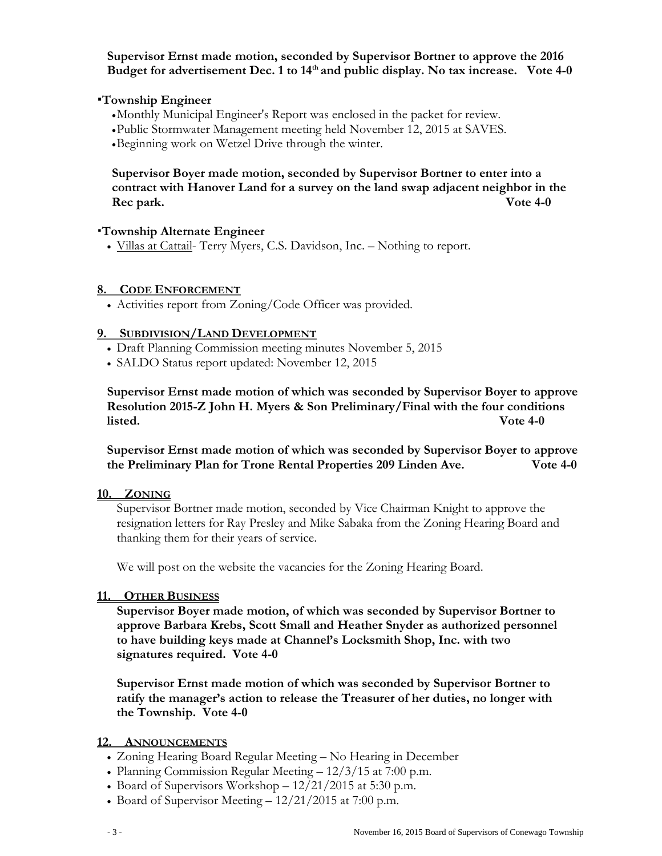**Supervisor Ernst made motion, seconded by Supervisor Bortner to approve the 2016**  Budget for advertisement Dec. 1 to 14<sup>th</sup> and public display. No tax increase. Vote 4-0

### **Township Engineer**

- •Monthly Municipal Engineer's Report was enclosed in the packet for review.
- •Public Stormwater Management meeting held November 12, 2015 at SAVES.
- •Beginning work on Wetzel Drive through the winter.

**Supervisor Boyer made motion, seconded by Supervisor Bortner to enter into a contract with Hanover Land for a survey on the land swap adjacent neighbor in the Rec park. Vote 4-0**

#### **Township Alternate Engineer**

• Villas at Cattail- Terry Myers, C.S. Davidson, Inc. *–* Nothing to report.

#### **8. CODE ENFORCEMENT**

• Activities report from Zoning/Code Officer was provided.

#### **9. SUBDIVISION/LAND DEVELOPMENT**

- Draft Planning Commission meeting minutes November 5, 2015
- SALDO Status report updated: November 12, 2015

**Supervisor Ernst made motion of which was seconded by Supervisor Boyer to approve Resolution 2015-Z John H. Myers & Son Preliminary/Final with the four conditions listed. Vote 4-0**

**Supervisor Ernst made motion of which was seconded by Supervisor Boyer to approve the Preliminary Plan for Trone Rental Properties 209 Linden Ave. Vote 4-0**

#### **10. ZONING**

Supervisor Bortner made motion, seconded by Vice Chairman Knight to approve the resignation letters for Ray Presley and Mike Sabaka from the Zoning Hearing Board and thanking them for their years of service.

We will post on the website the vacancies for the Zoning Hearing Board.

#### **11. OTHER BUSINESS**

**Supervisor Boyer made motion, of which was seconded by Supervisor Bortner to approve Barbara Krebs, Scott Small and Heather Snyder as authorized personnel to have building keys made at Channel's Locksmith Shop, Inc. with two signatures required. Vote 4-0**

**Supervisor Ernst made motion of which was seconded by Supervisor Bortner to ratify the manager's action to release the Treasurer of her duties, no longer with the Township. Vote 4-0**

#### **12. ANNOUNCEMENTS**

- Zoning Hearing Board Regular Meeting No Hearing in December
- Planning Commission Regular Meeting  $12/3/15$  at 7:00 p.m.
- Board of Supervisors Workshop 12/21/2015 at 5:30 p.m.
- Board of Supervisor Meeting  $-12/21/2015$  at 7:00 p.m.